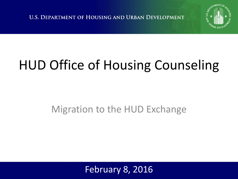**U.S. DEPARTMENT OF HOUSING AND URBAN DEVELOPMENT** 



## HUD Office of Housing Counseling

#### Migration to the HUD Exchange

February 8, 2016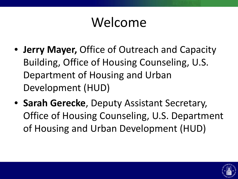#### Welcome

- **Jerry Mayer,** Office of Outreach and Capacity Building, Office of Housing Counseling, U.S. Department of Housing and Urban Development (HUD)
- **Sarah Gerecke**, Deputy Assistant Secretary, Office of Housing Counseling, U.S. Department of Housing and Urban Development (HUD)

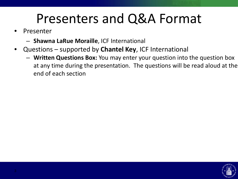#### Presenters and Q&A Format

- **Presenter** 
	- **Shawna LaRue Moraille**, ICF International
- Questions supported by **Chantel Key**, ICF International
	- **Written Questions Box:** You may enter your question into the question box at any time during the presentation. The questions will be read aloud at the end of each section

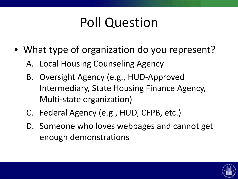#### Poll Question

- What type of organization do you represent?
	- A. Local Housing Counseling Agency
	- B. Oversight Agency (e.g., HUD-Approved Intermediary, State Housing Finance Agency, Multi-state organization)
	- C. Federal Agency (e.g., HUD, CFPB, etc.)
	- D. Someone who loves webpages and cannot get enough demonstrations

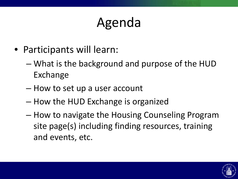### Agenda

- Participants will learn:
	- What is the background and purpose of the HUD Exchange
	- How to set up a user account
	- How the HUD Exchange is organized
	- How to navigate the Housing Counseling Program site page(s) including finding resources, training and events, etc.

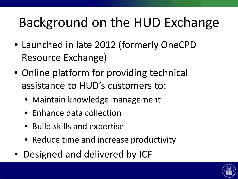### Background on the HUD Exchange

- Launched in late 2012 (formerly OneCPD Resource Exchange)
- Online platform for providing technical assistance to HUD's customers to:
	- Maintain knowledge management
	- Enhance data collection
	- Build skills and expertise
	- Reduce time and increase productivity
- Designed and delivered by ICF

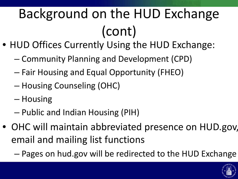# Background on the HUD Exchange (cont)

- HUD Offices Currently Using the HUD Exchange:
	- Community Planning and Development (CPD)
	- Fair Housing and Equal Opportunity (FHEO)
	- Housing Counseling (OHC)
	- Housing
	- Public and Indian Housing (PIH)
- OHC will maintain abbreviated presence on HUD.gov, email and mailing list functions
	- Pages on hud.gov will be redirected to the HUD Exchange

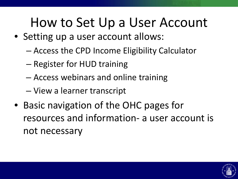#### How to Set Up a User Account

- Setting up a user account allows:
	- Access the CPD Income Eligibility Calculator
	- Register for HUD training
	- Access webinars and online training
	- View a learner transcript
- Basic navigation of the OHC pages for resources and information- a user account is not necessary

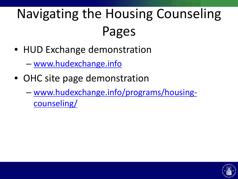## Navigating the Housing Counseling Pages

- HUD Exchange demonstration
	- [www.hudexchange.info](http://www.hudexchange.info/)
- OHC site page demonstration
	- [www.hudexchange.info/programs/housing](http://www.hudexchange.info/programs/housing-counseling/)counseling/